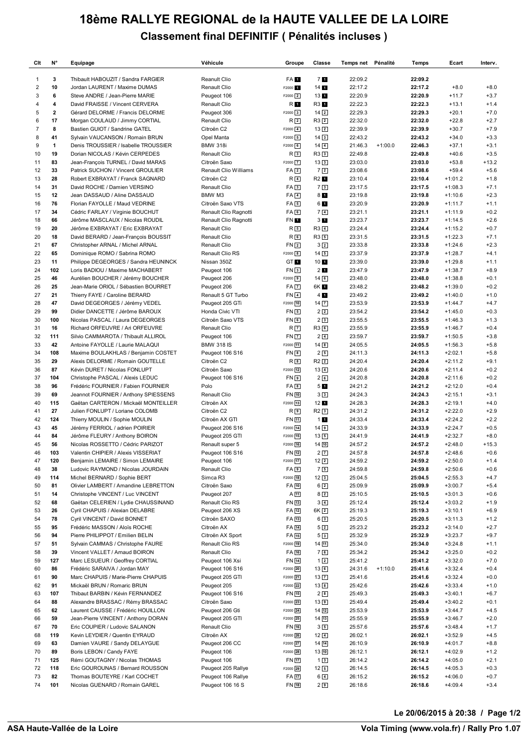## **18ème RALLYE REGIONAL de la HAUTE VALLEE DE LA LOIRE Classement final DEFINITIF ( Pénalités incluses )**

| Clt            | N°           | Equipage                                                               | Véhicule                          | Groupe                      | Classe                               | Temps net Pénalité |           | Temps              | Ecart                  | Interv.           |
|----------------|--------------|------------------------------------------------------------------------|-----------------------------------|-----------------------------|--------------------------------------|--------------------|-----------|--------------------|------------------------|-------------------|
| 1              | 3            | Thibault HABOUZIT / Sandra FARGIER                                     | Reanult Clio                      | FA 1                        | 71                                   | 22:09.2            |           | 22:09.2            |                        |                   |
| $\overline{c}$ | 10           | Jordan LAURENT / Maxime DUMAS                                          | Renault Clio                      | F2000 <sub>1</sub>          | $14$ $\blacksquare$                  | 22:17.2            |           | 22:17.2            | $+8.0$                 | $+8.0$            |
| 3              | 6            | Steve ANDRE / Jean-Pierre MARIE                                        | Peugeot 106                       | $F2000$ $2$                 | 131                                  | 22:20.9            |           | 22:20.9            | $+11.7$                | $+3.7$            |
| 4              | 4            | David FRAISSE / Vincent CERVERA                                        | Renault Clio                      | R 1                         | R3 1                                 | 22:22.3            |           | 22:22.3            | $+13.1$                | $+1.4$            |
| 5              | $\mathbf{2}$ | Gérard DELORME / Francis DELORME                                       | Peugeot 306                       | F2000 3                     | $14\sqrt{2}$                         | 22:29.3            |           | 22:29.3            | $+20.1$                | $+7.0$            |
| 6              | 17           | Morgan COULAUD / Jimmy CORTIAL                                         | Renault Clio                      | R <sub>2</sub>              | $R3$ 2                               | 22:32.0            |           | 22:32.0            | $+22.8$                | $+2.7$            |
| $\overline{7}$ | 8            | Bastien GUIOT / Sandrine GATEL                                         | Citroën C2                        | $F2000$ $4$                 | $13\sqrt{2}$                         | 22:39.9            |           | 22:39.9            | $+30.7$                | $+7.9$            |
| 8              | 41           | Sylvain VAUCANSON / Romain BRUN                                        | Opel Manta                        | $F2000$ 5                   | $14\sqrt{3}$                         | 22:43.2            |           | 22:43.2            | $+34.0$                | $+3.3$            |
| 9              | 1<br>19      | Denis TROUSSIER / Isabelle TROUSSIER                                   | <b>BMW 318i</b>                   | $F2000$ 6                   | $14\sqrt{4}$                         | 21:46.3            | $+1:00.0$ | 22:46.3<br>22:49.8 | $+37.1$<br>$+40.6$     | $+3.1$            |
| 10<br>11       | 83           | Dorian NICOLAS / Kévin CERPEDES<br>Jean-François TURNEL / David MARAS  | Renault Clio<br>Citroën Saxo      | R <sub>3</sub><br>$F2000$ 7 | R33<br>$13\sqrt{3}$                  | 22:49.8<br>23:03.0 |           | 23:03.0            | $+53.8$                | $+3.5$<br>$+13.2$ |
| 12             | 33           | Patrick SUCHON / Vincent GROULIER                                      | Renault Clio Williams             | FA <sub>2</sub>             | $7\sqrt{2}$                          | 23:08.6            |           | 23:08.6            | $+59.4$                | $+5.6$            |
| 13             | 28           | Robert EXBRAYAT / Franck SAGNARD                                       | Citroën C2                        | $R$ 4                       | R2 1                                 | 23:10.4            |           | 23:10.4            | $+1:01.2$              | $+1.8$            |
| 14             | 31           | David ROCHE / Damien VERSINO                                           | Renault Clio                      | FA3                         | 73                                   | 23:17.5            |           | 23:17.5            | $+1:08.3$              | $+7.1$            |
| 15             | 12           | Jean DASSAUD / Aline DASSAUD                                           | BMW M3                            | $FA$ <sup>4</sup>           | 8 <sub>1</sub>                       | 23:19.8            |           | 23:19.8            | $+1:10.6$              | $+2.3$            |
| 16             | 76           | Florian FAYOLLE / Maud VEDRINE                                         | Citroën Saxo VTS                  | $FA \boxed{5}$              | 6 <b>H</b>                           | 23:20.9            |           | 23:20.9            | $+1:11.7$              | $+1.1$            |
| 17             | 34           | Cédric FARLAY / Virginie BOUCHUT                                       | Renault Clio Ragnotti             | FA6                         | $7\sqrt{4}$                          | 23:21.1            |           | 23:21.1            | $+1:11.9$              | $+0.2$            |
| 18             | 66           | Jérôme MASCLAUX / Nicolas ROUDIL                                       | Renault Clio Ragnotti             | FN 1                        | 3 <sub>1</sub>                       | 23:23.7            |           | 23:23.7            | $+1:14.5$              | $+2.6$            |
| 19             | 20           | Jérôme EXBRAYAT / Eric EXBRAYAT                                        | Renault Clio                      | $R_{5}$                     | $R3$ $4$                             | 23:24.4            |           | 23:24.4            | $+1:15.2$              | $+0.7$            |
| 20             | 18           | David BERARD / Jean-François BOUSSIT                                   | Renault Clio                      | $R_{6}$                     | R3 5                                 | 23:31.5            |           | 23:31.5            | $+1:22.3$              | $+7.1$            |
| 21             | 67           | Christopher ARNAL / Michel ARNAL                                       | Renault Clio                      | FN <sub>2</sub>             | 32                                   | 23:33.8            |           | 23:33.8            | $+1:24.6$              | $+2.3$            |
| 22             | 65           | Dominique ROMO / Sabrina ROMO                                          | Renault Clio RS                   | F2000 8                     | $14\overline{5}$                     | 23:37.9            |           | 23:37.9            | $+1:28.7$              | $+4.1$            |
| 23             | 11           | Philippe DEGEORGES / Sandra HEUNINCK                                   | Nissan 350Z                       | GT <sub>1</sub>             | 1011                                 | 23:39.0            |           | 23:39.0            | $+1:29.8$              | $+1.1$            |
| 24             | 102          | Loris BADIOU / Maxime MACHABERT                                        | Peugeot 106                       | FN <sub>3</sub>             | 2 <sub>1</sub>                       | 23:47.9            |           | 23:47.9            | $+1:38.7$              | $+8.9$            |
| 25<br>26       | 46<br>25     | Aurélien BOUCHER / Jérémy BOUCHER                                      | Peugeot 206                       | F2000 9<br><b>FA</b> 7      | 14 <sub>6</sub><br>6K 1              | 23:48.0<br>23:48.2 |           | 23:48.0<br>23:48.2 | $+1:38.8$<br>$+1:39.0$ | $+0.1$<br>$+0.2$  |
| 27             | 21           | Jean-Marie ORIOL / Sébastien BOURRET<br>Thierry FAYE / Caroline BERARD | Peugeot 206<br>Renault 5 GT Turbo | <b>FN</b> 4                 | 4 <sub>1</sub>                       | 23:49.2            |           | 23:49.2            | $+1:40.0$              | $+1.0$            |
| 28             | 47           | David DEGEORGES / Jérémy VEDEL                                         | Peugeot 205 GTi                   | F2000 10                    | $14\overline{7}$                     | 23:53.9            |           | 23:53.9            | $+1:44.7$              | $+4.7$            |
| 29             | 99           | Didier DANCETTE / Jérôme BAROUX                                        | Honda Civic VTI                   | FN <sub>5</sub>             | 2 <sub>2</sub>                       | 23:54.2            |           | 23:54.2            | $+1:45.0$              | $+0.3$            |
| 30             | 100          | Nicolas PASCAL / Laura DEGEORGES                                       | Citroën Saxo VTS                  | FN <sub>6</sub>             | 23                                   | 23:55.5            |           | 23:55.5            | $+1:46.3$              | $+1.3$            |
| 31             | 16           | Richard ORFEUVRE / Ari ORFEUVRE                                        | Renault Clio                      | R <sub>7</sub>              | R3 6                                 | 23:55.9            |           | 23:55.9            | $+1:46.7$              | $+0.4$            |
| 32             | 111          | Silvio CAMMAROTA / Thibault ALLIROL                                    | Peugeot 106                       | <b>FN7</b>                  | $2\sqrt{4}$                          | 23:59.7            |           | 23:59.7            | $+1:50.5$              | $+3.8$            |
| 33             | 42           | Antoine FAYOLLE / Laurie MALAQUI                                       | <b>BMW 318 IS</b>                 | F2000 11                    | $14 \overline{\ }8$                  | 24:05.5            |           | 24:05.5            | $+1:56.3$              | $+5.8$            |
| 34             | 108          | Maxime BOULAKHLAS / Benjamin COSTET                                    | Peugeot 106 S16                   | FN <sub>8</sub>             | 25                                   | 24:11.3            |           | 24:11.3            | $+2:02.1$              | $+5.8$            |
| 35             | 29           | Alexis DELORME / Romain GOUTELLE                                       | Citroën C2                        | R8                          | $R2$ <sub>2</sub>                    | 24:20.4            |           | 24:20.4            | $+2:11.2$              | $+9.1$            |
| 36             | 87           | Kévin DURET / Nicolas FONLUPT                                          | Citroën Saxo                      | F2000 12                    | $13\vert 4$                          | 24:20.6            |           | 24:20.6            | $+2:11.4$              | $+0.2$            |
| 37             | 104          | Christophe PASCAL / Alexis LEDUC                                       | Peugeot 106 S16                   | FN <sub>9</sub>             | 26                                   | 24:20.8            |           | 24:20.8            | $+2:11.6$              | $+0.2$            |
| 38             | 96           | Frédéric FOURNIER / Fabien FOURNIER                                    | Polo                              | FA <sub>8</sub>             | 5 <sub>1</sub>                       | 24:21.2            |           | 24:21.2            | $+2:12.0$              | $+0.4$            |
| 39             | 69           | Jeannot FOURNIER / Anthony SPIESSENS                                   | Renault Clio                      | FN 10                       | 33                                   | 24:24.3            |           | 24:24.3            | $+2:15.1$              | $+3.1$            |
| 40             | 115<br>27    | Gaëtan CARTERON / Mickaël MONTEILLER                                   | Citroën AX<br>Citroën C2          | F2000 13<br>R <sub>9</sub>  | 12 <sub>1</sub><br>$R2$ <sup>3</sup> | 24:28.3<br>24:31.2 |           | 24:28.3<br>24:31.2 | $+2:19.1$<br>$+2:22.0$ | $+4.0$<br>$+2.9$  |
| 41<br>42       | 124          | Julien FONLUPT / Loriane COLOMB<br>Thierry MOULIN / Sophie MOULIN      | Citroën AX GTI                    | FN 11                       | $1$ $1$                              | 24:33.4            |           | 24:33.4            | $+2:24.2$              | $+2.2$            |
| 43             | 45           | Jérémy FERRIOL / adrien POIRIER                                        | Peugeot 206 S16                   | F2000 14                    | $14$ 9                               | 24:33.9            |           | 24:33.9            | $+2:24.7$              | $+0.5$            |
| 44             | 84           | Jérôme FLEURY / Anthony BOIRON                                         | Peugeot 205 GTI                   | F2000 15                    | $13\sqrt{5}$                         | 24:41.9            |           | 24:41.9            | $+2:32.7$              | $+8.0$            |
| 45             | 56           | Nicolas ROSSETTO / Cédric PARIZOT                                      | Renault super 5                   | F2000 16                    | $14$ $10$                            | 24:57.2            |           | 24:57.2            | $+2:48.0$              | $+15.3$           |
| 46             | 103          | Valentin CHIPIER / Alexis VISSERIAT                                    | Peugeot 106 S16                   | FN 12                       | $2\sqrt{7}$                          | 24:57.8            |           | 24:57.8            | $+2:48.6$              | $+0.6$            |
| 47             | 120          | Benjamin LEMAIRE / Simon LEMAIRE                                       | Peugeot 106                       | F2000 17                    | $12\sqrt{2}$                         | 24:59.2            |           | 24:59.2            | $+2:50.0$              | $+1.4$            |
| 48             | 38           | Ludovic RAYMOND / Nicolas JOURDAIN                                     | Renault Clio                      | $FA$ <sup>9</sup>           | 75                                   | 24:59.8            |           | 24:59.8            | $+2:50.6$              | $+0.6$            |
| 49             | 114          | Michel BERNARD / Sophie BERT                                           | Simca R3                          | F2000 <sup>18</sup>         | $12\sqrt{3}$                         | 25:04.5            |           | 25:04.5            | $+2:55.3$              | $+4.7$            |
| 50             | 81           | Olivier LAMBERT / Amandine LEBRETTON                                   | Citroën Saxo                      | FA 10                       | $6\sqrt{2}$                          | 25:09.9            |           | 25:09.9            | $+3:00.7$              | $+5.4$            |
| 51             | 14           | Christophe VINCENT / Luc VINCENT                                       | Peugeot 207                       | $A$ $11$                    | $8\sqrt{2}$                          | 25:10.5            |           | 25:10.5            | $+3:01.3$              | $+0.6$            |
| 52             | 68           | Gaëtan CELERIEN / Lydie CHAUSSINAND                                    | Renault Clio RS                   | FN [13]                     | $3\sqrt{4}$                          | 25:12.4            |           | 25:12.4            | $+3:03.2$              | $+1.9$            |
| 53             | 26           | Cyril CHAPUIS / Alexian DELABRE<br>Cyril VINCENT / David BONNET        | Peugeot 206 XS                    | FA 12                       | 6K 2                                 | 25:19.3            |           | 25:19.3            | $+3:10.1$              | $+6.9$            |
| 54             | 78<br>95     | Frédéric MASSON / Aloïs ROCHE                                          | Citroën SAXO                      | FA [13]<br>FA 14            | $6\sqrt{3}$                          | 25:20.5            |           | 25:20.5<br>25:23.2 | $+3:11.3$<br>$+3:14.0$ | $+1.2$            |
| 55<br>56       | 94           | Pierre PHILIPPOT / Emilien BELIN                                       | Citroën AX<br>Citroën AX Sport    | FA 15                       | $5\sqrt{2}$<br>53                    | 25:23.2<br>25:32.9 |           | 25:32.9            | $+3:23.7$              | $+2.7$<br>$+9.7$  |
| 57             | 51           | Sylvain CAMMAS / Christophe FAURE                                      | Renault Clio RS                   | F2000 <sup>[19]</sup>       | $14\sqrt{11}$                        | 25:34.0            |           | 25:34.0            | $+3:24.8$              | $+1.1$            |
| 58             | 39           | Vincent VALLET / Arnaud BOIRON                                         | Renault Clio                      | FA 16                       | 76                                   | 25:34.2            |           | 25:34.2            | $+3:25.0$              | $+0.2$            |
| 59             | 127          | Marc LESUEUR / Geoffrey CORTIAL                                        | Peugeot 106 Xsi                   | FN [14]                     | $1\sqrt{2}$                          | 25:41.2            |           | 25:41.2            | $+3:32.0$              | $+7.0$            |
| 60             | 86           | Frédéric SARAIVA / Jordan MAY                                          | Peugeot 106 S16                   | F2000 20                    | $13$ 6                               | 24:31.6            | $+1:10.0$ | 25:41.6            | $+3:32.4$              | $+0.4$            |
| 61             | 90           | Marc CHAPUIS / Marie-Pierre CHAPUIS                                    | Peugeot 205 GTI                   | F2000 21                    | $13\boxed{7}$                        | 25:41.6            |           | 25:41.6            | $+3:32.4$              | $+0.0$            |
| 62             | 91           | Mickaël BRUN / Romaric BRUN                                            | Peugeot 205                       | F2000 22                    | $13$ $\boxed{8}$                     | 25:42.6            |           | 25:42.6            | $+3:33.4$              | $+1.0$            |
| 63             | 107          | Thibaut BARBIN / Kévin FERNANDEZ                                       | Peugeot 106 S16                   | FN [15]                     | $2^{8}$                              | 25:49.3            |           | 25:49.3            | $+3:40.1$              | $+6.7$            |
| 64             | 88           | Alexandre BRASSAC / Rémy BRASSAC                                       | Citroën Saxo                      | F2000 23                    | $13$ 9                               | 25:49.4            |           | 25:49.4            | $+3:40.2$              | $+0.1$            |
| 65             | 62           | Laurent CAUSSE / Frédéric HOUILLON                                     | Peugeot 206 Gti                   | F2000 24                    | $14$ $12$                            | 25:53.9            |           | 25:53.9            | $+3:44.7$              | $+4.5$            |
| 66             | 59           | Jean-Pierre VINCENT / Anthony DORAN                                    | Peugeot 205 GTI                   | F2000 25                    | $14$ $13$                            | 25:55.9            |           | 25:55.9            | $+3:46.7$              | $+2.0$            |
| 67             | 70           | Eric COUPIER / Ludovic SALANON                                         | Renault Clio                      | FN 16                       | $3\sqrt{5}$                          | 25:57.6            |           | 25:57.6            | $+3:48.4$              | $+1.7$            |
| 68             | 119          | Kevin LEYDIER / Quentin EYRAUD                                         | Citroën AX                        | F2000 26                    | $12\sqrt{4}$                         | 26:02.1            |           | 26:02.1            | $+3:52.9$              | $+4.5$            |
| 69             | 63           | Damien VAURE / Sandy DELAYGUE                                          | Peugeot 206 CC                    | F2000 27                    | $14 \overline{14}$                   | 26:10.9            |           | 26:10.9            | $+4:01.7$              | $+8.8$            |
| 70             | 89           | Boris LEBON / Candy FAYE                                               | Peugeot 106                       | F2000 28                    | 13[10]                               | 26:12.1            |           | 26:12.1            | $+4:02.9$              | $+1.2$            |
| 71<br>72       | 125<br>118   | Rémi GOUTAGNY / Nicolas THOMAS<br>Eric GOUROUNAS / Bernard ROUSSON     | Peugeot 106<br>Peugeot 205 Rallye | FN 17<br>F2000 29           | $1\sqrt{3}$<br>$12\sqrt{5}$          | 26:14.2<br>26:14.5 |           | 26:14.2<br>26:14.5 | $+4:05.0$<br>$+4:05.3$ | $+2.1$<br>$+0.3$  |
| 73             | 82           | Thomas BOUTEYRE / Karl COCHET                                          | Peugeot 106 Rallye                | FA 17                       | $6\sqrt{4}$                          | 26:15.2            |           | 26:15.2            | $+4:06.0$              | $+0.7$            |
| 74             | 101          | Nicolas GUENARD / Romain GAREL                                         | Peugeot 106 16 S                  | FN [18]                     | 29                                   | 26:18.6            |           | 26:18.6            | $+4:09.4$              | $+3.4$            |
|                |              |                                                                        |                                   |                             |                                      |                    |           |                    |                        |                   |

**Le 20/06/2015 à 20:38 / Page 1/2**